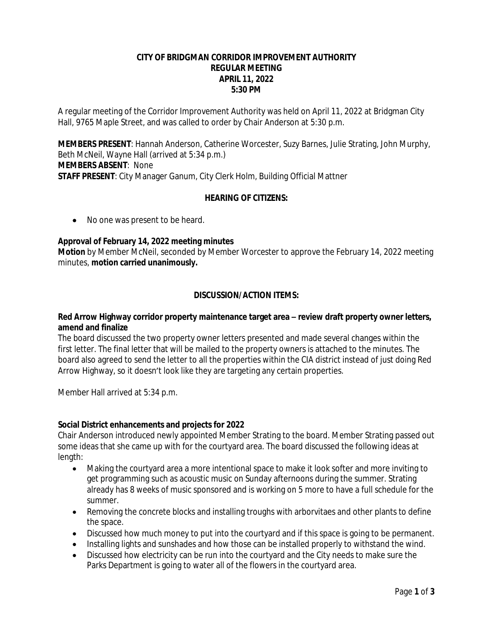# **CITY OF BRIDGMAN CORRIDOR IMPROVEMENT AUTHORITY REGULAR MEETING APRIL 11, 2022 5:30 PM**

A regular meeting of the Corridor Improvement Authority was held on April 11, 2022 at Bridgman City Hall, 9765 Maple Street, and was called to order by Chair Anderson at 5:30 p.m.

**MEMBERS PRESENT**: Hannah Anderson, Catherine Worcester, Suzy Barnes, Julie Strating, John Murphy, Beth McNeil, Wayne Hall (arrived at 5:34 p.m.) **MEMBERS ABSENT**: None **STAFF PRESENT**: City Manager Ganum, City Clerk Holm, Building Official Mattner

## **HEARING OF CITIZENS:**

• No one was present to be heard.

### **Approval of February 14, 2022 meeting minutes**

**Motion** by Member McNeil, seconded by Member Worcester to approve the February 14, 2022 meeting minutes, **motion carried unanimously.**

## **DISCUSSION/ACTION ITEMS:**

### **Red Arrow Highway corridor property maintenance target area – review draft property owner letters, amend and finalize**

The board discussed the two property owner letters presented and made several changes within the first letter. The final letter that will be mailed to the property owners is attached to the minutes. The board also agreed to send the letter to all the properties within the CIA district instead of just doing Red Arrow Highway, so it doesn't look like they are targeting any certain properties.

Member Hall arrived at 5:34 p.m.

#### **Social District enhancements and projects for 2022**

Chair Anderson introduced newly appointed Member Strating to the board. Member Strating passed out some ideas that she came up with for the courtyard area. The board discussed the following ideas at length:

- Making the courtyard area a more intentional space to make it look softer and more inviting to get programming such as acoustic music on Sunday afternoons during the summer. Strating already has 8 weeks of music sponsored and is working on 5 more to have a full schedule for the summer.
- Removing the concrete blocks and installing troughs with arborvitaes and other plants to define the space.
- Discussed how much money to put into the courtyard and if this space is going to be permanent.
- Installing lights and sunshades and how those can be installed properly to withstand the wind.
- Discussed how electricity can be run into the courtyard and the City needs to make sure the Parks Department is going to water all of the flowers in the courtyard area.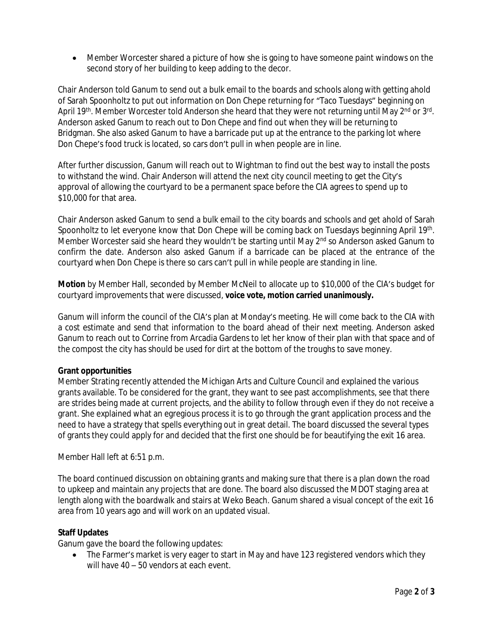Member Worcester shared a picture of how she is going to have someone paint windows on the second story of her building to keep adding to the decor.

Chair Anderson told Ganum to send out a bulk email to the boards and schools along with getting ahold of Sarah Spoonholtz to put out information on Don Chepe returning for "Taco Tuesdays" beginning on April 19<sup>th</sup>. Member Worcester told Anderson she heard that they were not returning until May 2<sup>nd</sup> or 3<sup>rd</sup>. Anderson asked Ganum to reach out to Don Chepe and find out when they will be returning to Bridgman. She also asked Ganum to have a barricade put up at the entrance to the parking lot where Don Chepe's food truck is located, so cars don't pull in when people are in line.

After further discussion, Ganum will reach out to Wightman to find out the best way to install the posts to withstand the wind. Chair Anderson will attend the next city council meeting to get the City's approval of allowing the courtyard to be a permanent space before the CIA agrees to spend up to \$10,000 for that area.

Chair Anderson asked Ganum to send a bulk email to the city boards and schools and get ahold of Sarah Spoonholtz to let everyone know that Don Chepe will be coming back on Tuesdays beginning April 19<sup>th</sup>. Member Worcester said she heard they wouldn't be starting until May 2<sup>nd</sup> so Anderson asked Ganum to confirm the date. Anderson also asked Ganum if a barricade can be placed at the entrance of the courtyard when Don Chepe is there so cars can't pull in while people are standing in line.

**Motion** by Member Hall, seconded by Member McNeil to allocate up to \$10,000 of the CIA's budget for courtyard improvements that were discussed, **voice vote, motion carried unanimously.**

Ganum will inform the council of the CIA's plan at Monday's meeting. He will come back to the CIA with a cost estimate and send that information to the board ahead of their next meeting. Anderson asked Ganum to reach out to Corrine from Arcadia Gardens to let her know of their plan with that space and of the compost the city has should be used for dirt at the bottom of the troughs to save money.

## **Grant opportunities**

Member Strating recently attended the Michigan Arts and Culture Council and explained the various grants available. To be considered for the grant, they want to see past accomplishments, see that there are strides being made at current projects, and the ability to follow through even if they do not receive a grant. She explained what an egregious process it is to go through the grant application process and the need to have a strategy that spells everything out in great detail. The board discussed the several types of grants they could apply for and decided that the first one should be for beautifying the exit 16 area.

Member Hall left at 6:51 p.m.

The board continued discussion on obtaining grants and making sure that there is a plan down the road to upkeep and maintain any projects that are done. The board also discussed the MDOT staging area at length along with the boardwalk and stairs at Weko Beach. Ganum shared a visual concept of the exit 16 area from 10 years ago and will work on an updated visual.

## **Staff Updates**

Ganum gave the board the following updates:

• The Farmer's market is very eager to start in May and have 123 registered vendors which they will have 40 – 50 vendors at each event.